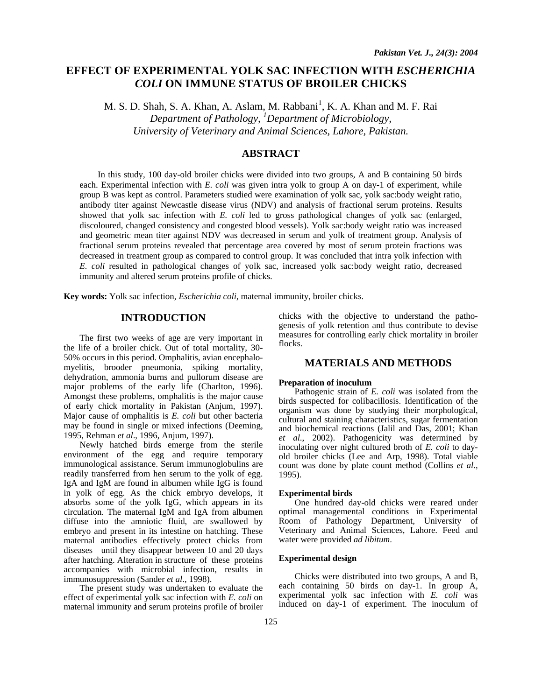# **EFFECT OF EXPERIMENTAL YOLK SAC INFECTION WITH** *ESCHERICHIA COLI* **ON IMMUNE STATUS OF BROILER CHICKS**

M. S. D. Shah, S. A. Khan, A. Aslam, M. Rabbani<sup>1</sup>, K. A. Khan and M. F. Rai *Department of Pathology, 1 Department of Microbiology, University of Veterinary and Animal Sciences, Lahore, Pakistan.* 

# **ABSTRACT**

 In this study, 100 day-old broiler chicks were divided into two groups, A and B containing 50 birds each. Experimental infection with *E. coli* was given intra yolk to group A on day-1 of experiment, while group B was kept as control. Parameters studied were examination of yolk sac, yolk sac:body weight ratio, antibody titer against Newcastle disease virus (NDV) and analysis of fractional serum proteins. Results showed that yolk sac infection with *E. coli* led to gross pathological changes of yolk sac (enlarged, discoloured, changed consistency and congested blood vessels). Yolk sac:body weight ratio was increased and geometric mean titer against NDV was decreased in serum and yolk of treatment group. Analysis of fractional serum proteins revealed that percentage area covered by most of serum protein fractions was decreased in treatment group as compared to control group. It was concluded that intra yolk infection with *E. coli* resulted in pathological changes of yolk sac, increased yolk sac:body weight ratio, decreased immunity and altered serum proteins profile of chicks.

**Key words:** Yolk sac infection, *Escherichia coli,* maternal immunity, broiler chicks.

### **INTRODUCTION**

The first two weeks of age are very important in the life of a broiler chick. Out of total mortality, 30- 50% occurs in this period. Omphalitis, avian encephalomyelitis, brooder pneumonia, spiking mortality, dehydration, ammonia burns and pullorum disease are major problems of the early life (Charlton, 1996). Amongst these problems, omphalitis is the major cause of early chick mortality in Pakistan (Anjum, 1997). Major cause of omphalitis is *E. coli* but other bacteria may be found in single or mixed infections (Deeming, 1995, Rehman *et al*., 1996, Anjum, 1997).

Newly hatched birds emerge from the sterile environment of the egg and require temporary immunological assistance. Serum immunoglobulins are readily transferred from hen serum to the yolk of egg. IgA and IgM are found in albumen while IgG is found in yolk of egg. As the chick embryo develops, it absorbs some of the yolk IgG, which appears in its circulation. The maternal IgM and IgA from albumen diffuse into the amniotic fluid, are swallowed by embryo and present in its intestine on hatching. These maternal antibodies effectively protect chicks from diseases until they disappear between 10 and 20 days after hatching. Alteration in structure of these proteins accompanies with microbial infection, results in immunosuppression (Sander *et al*., 1998).

The present study was undertaken to evaluate the effect of experimental yolk sac infection with *E. coli* on maternal immunity and serum proteins profile of broiler

chicks with the objective to understand the pathogenesis of yolk retention and thus contribute to devise measures for controlling early chick mortality in broiler flocks.

#### **MATERIALS AND METHODS**

#### **Preparation of inoculum**

Pathogenic strain of *E. coli* was isolated from the birds suspected for colibacillosis. Identification of the organism was done by studying their morphological, cultural and staining characteristics, sugar fermentation and biochemical reactions (Jalil and Das, 2001; Khan *et al*., 2002). Pathogenicity was determined by inoculating over night cultured broth of *E. coli* to dayold broiler chicks (Lee and Arp, 1998). Total viable count was done by plate count method (Collins *et al*., 1995).

#### **Experimental birds**

One hundred day-old chicks were reared under optimal managemental conditions in Experimental Room of Pathology Department, University of Veterinary and Animal Sciences, Lahore. Feed and water were provided *ad libitum*.

#### **Experimental design**

Chicks were distributed into two groups, A and B, each containing 50 birds on day-1. In group A, experimental yolk sac infection with *E. coli* was induced on day-1 of experiment. The inoculum of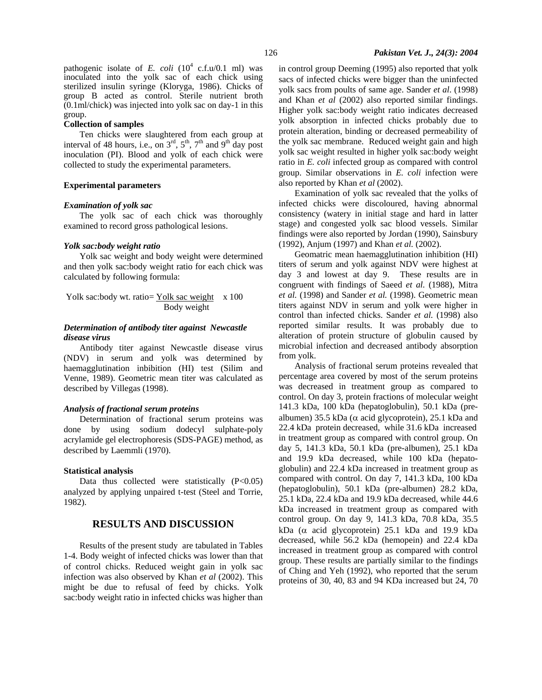#### **Collection of samples**

Ten chicks were slaughtered from each group at interval of 48 hours, i.e., on  $3^{rd}$ ,  $5^{th}$ ,  $7^{th}$  and  $9^{th}$  day post inoculation (PI). Blood and yolk of each chick were collected to study the experimental parameters.

#### **Experimental parameters**

#### *Examination of yolk sac*

The yolk sac of each chick was thoroughly examined to record gross pathological lesions.

#### *Yolk sac:body weight ratio*

Yolk sac weight and body weight were determined and then yolk sac:body weight ratio for each chick was calculated by following formula:

$$
Yolk sac:body wt. ratio = \frac{Yolk sac weight}{Body weight} \times 100
$$

#### *Determination of antibody titer against Newcastle disease virus*

Antibody titer against Newcastle disease virus (NDV) in serum and yolk was determined by haemagglutination inbibition (HI) test (Silim and Venne, 1989). Geometric mean titer was calculated as described by Villegas (1998).

### *Analysis of fractional serum proteins*

Determination of fractional serum proteins was done by using sodium dodecyl sulphate-poly acrylamide gel electrophoresis (SDS-PAGE) method, as described by Laemmli (1970).

#### **Statistical analysis**

Data thus collected were statistically  $(P<0.05)$ analyzed by applying unpaired t-test (Steel and Torrie, 1982).

# **RESULTS AND DISCUSSION**

Results of the present study are tabulated in Tables 1-4. Body weight of infected chicks was lower than that of control chicks. Reduced weight gain in yolk sac infection was also observed by Khan *et al* (2002). This might be due to refusal of feed by chicks. Yolk sac:body weight ratio in infected chicks was higher than in control group Deeming (1995) also reported that yolk sacs of infected chicks were bigger than the uninfected yolk sacs from poults of same age. Sander *et al*. (1998) and Khan *et al* (2002) also reported similar findings. Higher yolk sac:body weight ratio indicates decreased yolk absorption in infected chicks probably due to protein alteration, binding or decreased permeability of the yolk sac membrane. Reduced weight gain and high yolk sac weight resulted in higher yolk sac:body weight ratio in *E. coli* infected group as compared with control group. Similar observations in *E. coli* infection were also reported by Khan *et al* (2002).

Examination of yolk sac revealed that the yolks of infected chicks were discoloured, having abnormal consistency (watery in initial stage and hard in latter stage) and congested yolk sac blood vessels. Similar findings were also reported by Jordan (1990), Sainsbury (1992), Anjum (1997) and Khan *et al.* (2002).

Geomatric mean haemagglutination inhibition (HI) titers of serum and yolk against NDV were highest at day 3 and lowest at day 9. These results are in congruent with findings of Saeed *et al.* (1988), Mitra *et al.* (1998) and Sander *et al.* (1998). Geometric mean titers against NDV in serum and yolk were higher in control than infected chicks. Sander *et al.* (1998) also reported similar results. It was probably due to alteration of protein structure of globulin caused by microbial infection and decreased antibody absorption from yolk.

Analysis of fractional serum proteins revealed that percentage area covered by most of the serum proteins was decreased in treatment group as compared to control. On day 3, protein fractions of molecular weight 141.3 kDa, 100 kDa (hepatoglobulin), 50.1 kDa (prealbumen) 35.5 kDa ( $\alpha$  acid glycoprotein), 25.1 kDa and 22.4 kDa protein decreased, while 31.6 kDa increased in treatment group as compared with control group. On day 5, 141.3 kDa, 50.1 kDa (pre-albumen), 25.1 kDa and 19.9 kDa decreased, while 100 kDa (hepatoglobulin) and 22.4 kDa increased in treatment group as compared with control. On day 7, 141.3 kDa, 100 kDa (hepatoglobulin), 50.1 kDa (pre-albumen) 28.2 kDa, 25.1 kDa, 22.4 kDa and 19.9 kDa decreased, while 44.6 kDa increased in treatment group as compared with control group. On day 9, 141.3 kDa, 70.8 kDa, 35.5 kDa ( $\alpha$  acid glycoprotein) 25.1 kDa and 19.9 kDa decreased, while 56.2 kDa (hemopein) and 22.4 kDa increased in treatment group as compared with control group. These results are partially similar to the findings of Ching and Yeh (1992), who reported that the serum proteins of 30, 40, 83 and 94 KDa increased but 24, 70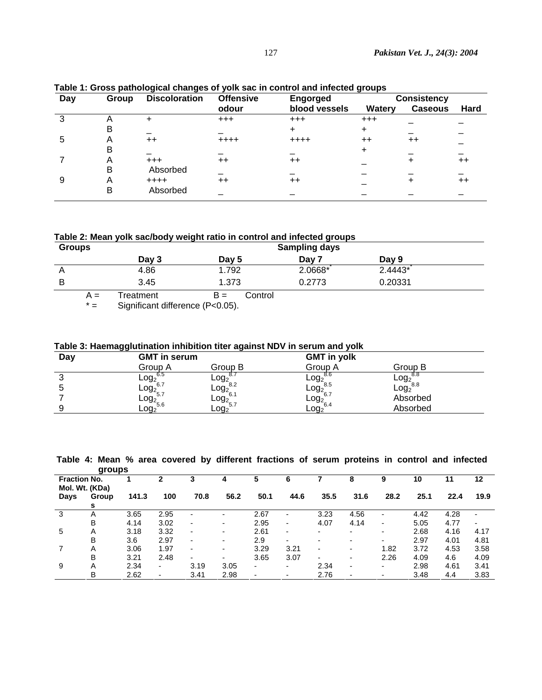| Day | Group | <b>Discoloration</b> | <b>Offensive</b> | <b>Engorged</b> | <b>Consistency</b> |                 |      |  |
|-----|-------|----------------------|------------------|-----------------|--------------------|-----------------|------|--|
|     |       |                      | odour            | blood vessels   | Watery             | <b>Caseous</b>  | Hard |  |
|     |       | +                    | $+ + +$          | $+ + +$         | $+ + +$            |                 |      |  |
|     | B     |                      |                  |                 | ÷                  |                 |      |  |
| 5   | Α     | $++$                 | $++++$           | $++++$          | $++$               | $^{\mathrm{+}}$ |      |  |
|     | в     |                      |                  |                 | +                  |                 |      |  |
|     | А     | $^{+++}$             | $++$             | $^{\mathrm{+}}$ |                    |                 | $++$ |  |
|     | B     | Absorbed             |                  |                 |                    |                 |      |  |
| 9   | А     | $++++$               | $++$             | $^{\mathrm{+}}$ |                    |                 | $++$ |  |
|     | B     | Absorbed             |                  |                 |                    |                 |      |  |

**Table 1: Gross pathological changes of yolk sac in control and infected groups** 

**Table 2: Mean yolk sac/body weight ratio in control and infected groups** 

| <b>Groups</b> |           |                  | <b>Sampling days</b> |           |  |
|---------------|-----------|------------------|----------------------|-----------|--|
|               | Day 3     | Day 5            | Day 7                | Day 9     |  |
|               | 4.86      | 1.792            | 2.0668*              | $2.4443*$ |  |
| B             | 3.45      | 1.373            | 0.2773               | 0.20331   |  |
| A =           | Treatment | Control<br>$B =$ |                      |           |  |

\* = Significant difference (P<0.05).

**Table 3: Haemagglutination inhibition titer against NDV in serum and yolk** 

|     | ັບປ                 | .                |                             |                                              |
|-----|---------------------|------------------|-----------------------------|----------------------------------------------|
| Day | <b>GMT in serum</b> |                  | <b>GMT</b> in yolk          |                                              |
|     | Group A             | Group B          | Group A                     | Group B                                      |
|     | 0.O<br>$-0g2$       | $\mathsf{Log}_2$ | 8.b<br>$^{1}$ -0 $92_{8.5}$ | ୪.୪                                          |
|     | $-0g2$              | $\mathsf{Log}_2$ | log <sub>2</sub>            | Log <sub>2</sub> °.°<br>Log <sub>2</sub> 8.8 |
|     |                     | $-0.092^{6.1}$   |                             | Absorbed                                     |
|     | $.092^{5.7}_{5.6}$  | Log <sub>2</sub> | $-$ 0g $^{0.7}_{2}$ 6.4     | Absorbed                                     |

 **Table 4: Mean % area covered by different fractions of serum proteins in control and infected groups** 

|                                       | givupo |       |      |                          |      |      |                          |                          |      |      |      |      |      |
|---------------------------------------|--------|-------|------|--------------------------|------|------|--------------------------|--------------------------|------|------|------|------|------|
| <b>Fraction No.</b><br>Mol. Wt. (KDa) |        |       |      |                          |      |      | 6                        |                          | 8    | 9    | 10   |      | 12   |
| Days                                  | Group  | 141.3 | 100  | 70.8                     | 56.2 | 50.1 | 44.6                     | 35.5                     | 31.6 | 28.2 | 25.1 | 22.4 | 19.9 |
|                                       | s      |       |      |                          |      |      |                          |                          |      |      |      |      |      |
| 3                                     | Α      | 3.65  | 2.95 |                          |      | 2.67 | $\overline{\phantom{0}}$ | 3.23                     | 4.56 | Ξ.   | 4.42 | 4.28 |      |
|                                       | B      | 4.14  | 3.02 | $\overline{\phantom{0}}$ | -    | 2.95 | $\overline{\phantom{0}}$ | 4.07                     | 4.14 | ۰    | 5.05 | 4.77 | ٠    |
| 5                                     | Α      | 3.18  | 3.32 | $\overline{\phantom{0}}$ | ٠    | 2.61 | $\blacksquare$           | $\overline{\phantom{0}}$ | ٠    | ٠    | 2.68 | 4.16 | 4.17 |
|                                       | B      | 3.6   | 2.97 | $\overline{\phantom{0}}$ | -    | 2.9  | $\overline{\phantom{0}}$ |                          | ٠    | ۰.   | 2.97 | 4.01 | 4.81 |
|                                       | Α      | 3.06  | 1.97 | $\overline{\phantom{0}}$ |      | 3.29 | 3.21                     |                          | ٠    | 1.82 | 3.72 | 4.53 | 3.58 |
|                                       | B      | 3.21  | 2.48 | $\overline{\phantom{a}}$ | -    | 3.65 | 3.07                     | $\overline{\phantom{0}}$ | ٠    | 2.26 | 4.09 | 4.6  | 4.09 |
| 9                                     | Α      | 2.34  | ۰.   | 3.19                     | 3.05 | ۰.   | $\overline{\phantom{0}}$ | 2.34                     | ٠    | ۰.   | 2.98 | 4.61 | 3.41 |
|                                       | в      | 2.62  |      | 3.41                     | 2.98 | ٠    |                          | 2.76                     | ٠    |      | 3.48 | 4.4  | 3.83 |